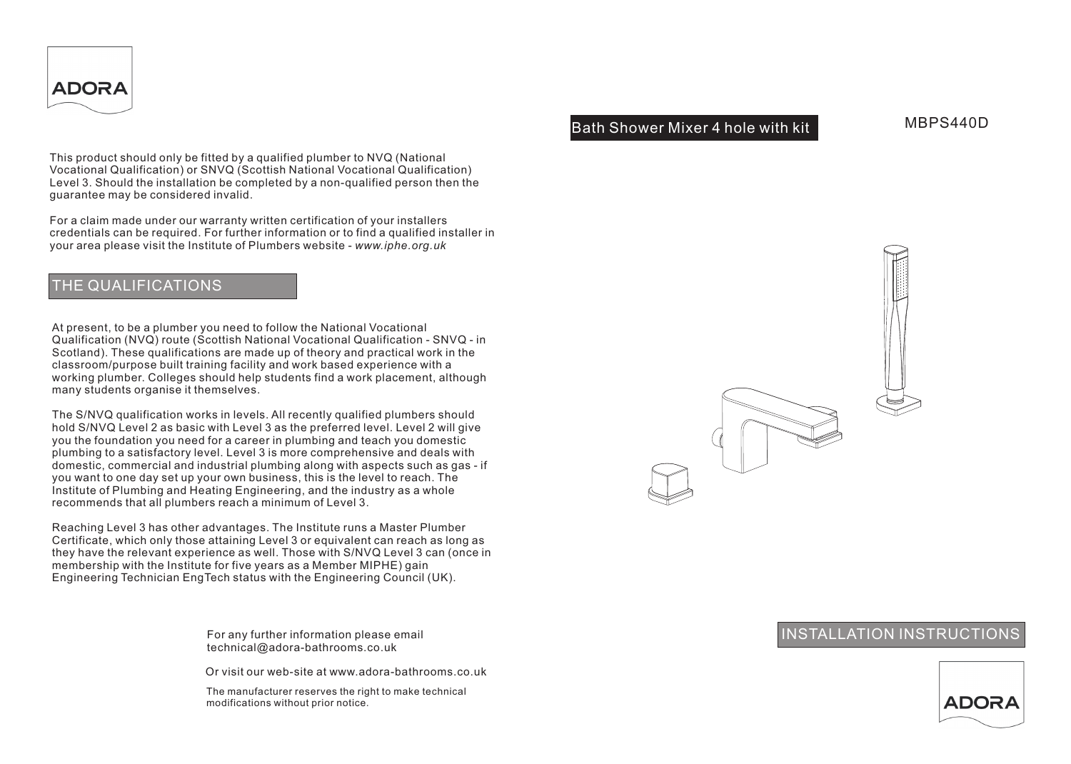

Bath Shower Mixer 4 hole with kit

MBPS440D

This product should only be fitted by a qualified plumber to NVQ (National Vocational Qualification) or SNVQ (Scottish National Vocational Qualification) Level 3. Should the installation be completed by a non-qualified person then the guarantee may be considered invalid.

For a claim made under our warranty written certification of your installers credentials can be required. For further information or to find a qualified installer in your area please visit the Institute of Plumbers website - *www.iphe.org.uk*

## THE QUALIFICATIONS

At present, to be a plumber you need to follow the National Vocational Qualification (NVQ) route (Scottish National Vocational Qualification - SNVQ - in Scotland). These qualifications are made up of theory and practical work in the classroom/purpose built training facility and work based experience with a working plumber. Colleges should help students find a work placement, although many students organise it themselves.

The S/NVQ qualification works in levels. All recently qualified plumbers should hold S/NVQ Level 2 as basic with Level 3 as the preferred level. Level 2 will give you the foundation you need for a career in plumbing and teach you domestic plumbing to a satisfactory level. Level 3 is more comprehensive and deals with domestic, commercial and industrial plumbing along with aspects such as gas - if you want to one day set up your own business, this is the level to reach. The Institute of Plumbing and Heating Engineering, and the industry as a whole recommends that all plumbers reach a minimum of Level 3.

Reaching Level 3 has other advantages. The Institute runs a Master Plumber Certificate, which only those attaining Level 3 or equivalent can reach as long as they have the relevant experience as well. Those with S/NVQ Level 3 can (once in membership with the Institute for five years as a Member MIPHE) gain Engineering Technician EngTech status with the Engineering Council (UK).

> For any further information please email technical@adora-bathrooms.co.uk

Or visit our web-site at www.adora-bathrooms.co.uk

The manufacturer reserves the right to make technical modifications without prior notice.



# INSTALLATION INSTRUCTIONS

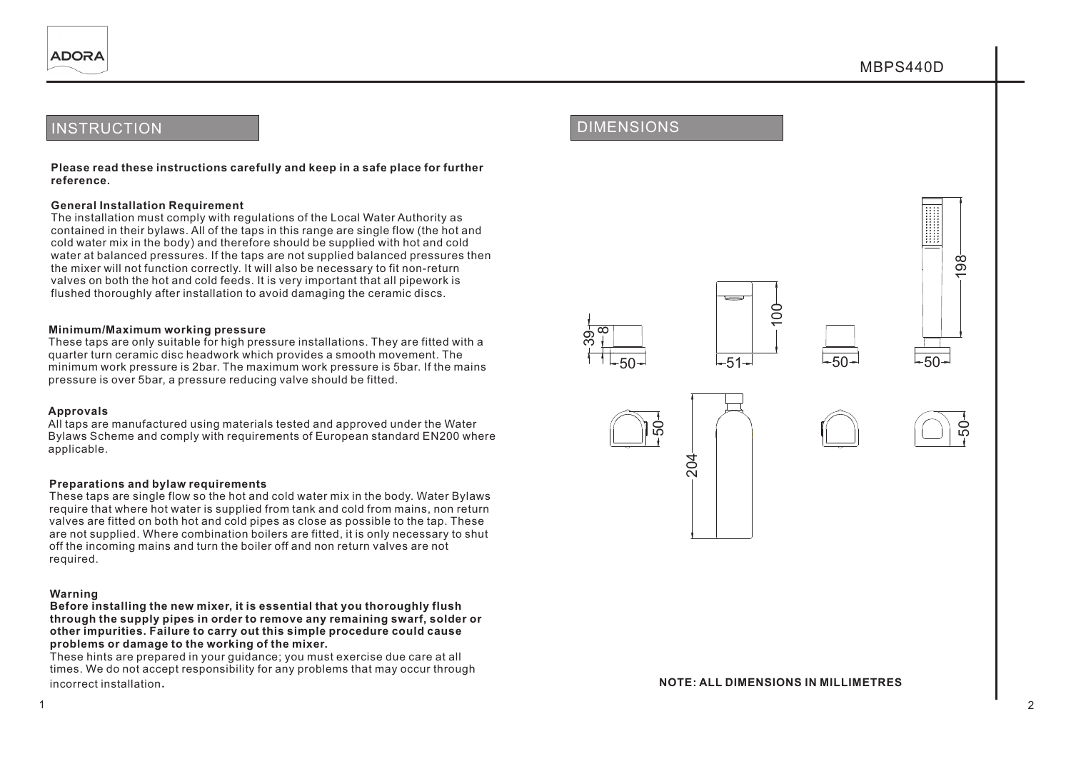## **INSTRUCTION**

**Please read these instructions carefully and keep in a safe place for further reference.**

#### **General Installation Requirement**

The installation must comply with regulations of the Local Water Authority as contained in their bylaws. All of the taps in this range are single flow (the hot and cold water mix in the body) and therefore should be supplied with hot and cold water at balanced pressures. If the taps are not supplied balanced pressures then the mixer will not function correctly. It will also be necessary to fit non-return valves on both the hot and cold feeds. It is very important that all pipework is flushed thoroughly after installation to avoid damaging the ceramic discs.

#### **Minimum/Maximum working pressure**

These taps are only suitable for high pressure installations. They are fitted with a quarter turn ceramic disc headwork which provides a smooth movement. The minimum work pressure is 2bar. The maximum work pressure is 5bar. If the mains pressure is over 5bar, a pressure reducing valve should be fitted.

#### **Approvals**

All taps are manufactured using materials tested and approved under the Water Bylaws Scheme and comply with requirements of European standard EN200 where applicable.

#### **Preparations and bylaw requirements**

These taps are single flow so the hot and cold water mix in the body. Water Bylaws require that where hot water is supplied from tank and cold from mains, non return valves are fitted on both hot and cold pipes as close as possible to the tap. These are not supplied. Where combination boilers are fitted, it is only necessary to shut off the incoming mains and turn the boiler off and non return valves are not required.

#### **Warning**

**Before installing the new mixer, it is essential that you thoroughly flush through the supply pipes in order to remove any remaining swarf, solder or other impurities. Failure to carry out this simple procedure could cause problems or damage to the working of the mixer.**

These hints are prepared in your guidance; you must exercise due care at all times. We do not accept responsibility for any problems that may occur through incorrect installation.

∞

ო တ

50

204







#### **NOTE: ALL DIMENSIONS IN MILLIMETRES**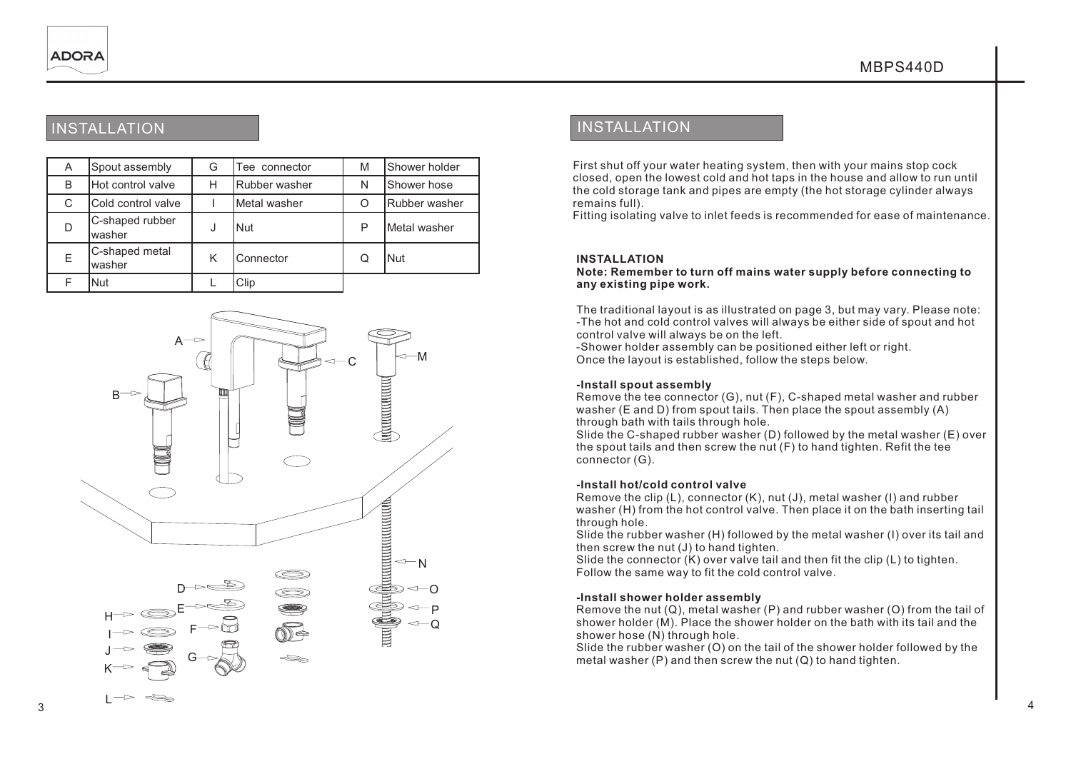# INSTALLATION **INSTALLATION**

| A | Spout assembly            | G | Tee connector | M | Shower holder |
|---|---------------------------|---|---------------|---|---------------|
| B | Hot control valve         | Н | Rubber washer | N | Shower hose   |
| С | Cold control valve        |   | Metal washer  | O | Rubber washer |
| D | C-shaped rubber<br>washer | J | <b>Nut</b>    | Р | Metal washer  |
| E | C-shaped metal<br>washer  | K | Connector     | Q | Nut           |
|   | <b>Nut</b>                |   | Clip          |   |               |



First shut off your water heating system, then with your mains stop cock closed, open the lowest cold and hot taps in the house and allow to run until the cold storage tank and pipes are empty (the hot storage cylinder always remains full).

Fitting isolating valve to inlet feeds is recommended for ease of maintenance.

### **INSTALLATION**

#### **Note: Remember to turn off mains water supply before connecting to any existing pipe work.**

The traditional layout is as illustrated on page 3, but may vary. Please note: -The hot and cold control valves will always be either side of spout and hot control valve will always be on the left.

-Shower holder assembly can be positioned either left or right. Once the layout is established, follow the steps below.

#### **-Install spout assembly**

Remove the tee connector (G), nut (F), C-shaped metal washer and rubber washer (E and D) from spout tails. Then place the spout assembly (A) through bath with tails through hole.

Slide the C-shaped rubber washer (D) followed by the metal washer (E) over the spout tails and then screw the nut (F) to hand tighten. Refit the tee connector (G).

### **-Install hot/cold control valve**

Remove the clip (L), connector (K), nut (J), metal washer (I) and rubber washer (H) from the hot control valve. Then place it on the bath inserting tail through hole.

Slide the rubber washer (H) followed by the metal washer (I) over its tail and then screw the nut (J) to hand tighten.

Slide the connector  $(K)$  over valve tail and then fit the clip  $(L)$  to tighten. Follow the same way to fit the cold control valve.

### **-Install shower holder assembly**

Remove the nut (Q), metal washer (P) and rubber washer (O) from the tail of shower holder (M). Place the shower holder on the bath with its tail and the shower hose (N) through hole.

Slide the rubber washer (O) on the tail of the shower holder followed by the metal washer (P) and then screw the nut (Q) to hand tighten.